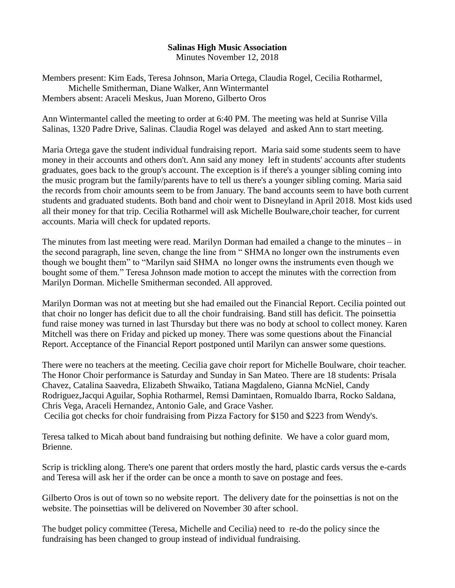## **Salinas High Music Association**

Minutes November 12, 2018

Members present: Kim Eads, Teresa Johnson, Maria Ortega, Claudia Rogel, Cecilia Rotharmel, Michelle Smitherman, Diane Walker, Ann Wintermantel Members absent: Araceli Meskus, Juan Moreno, Gilberto Oros

Ann Wintermantel called the meeting to order at 6:40 PM. The meeting was held at Sunrise Villa Salinas, 1320 Padre Drive, Salinas. Claudia Rogel was delayed and asked Ann to start meeting.

Maria Ortega gave the student individual fundraising report. Maria said some students seem to have money in their accounts and others don't. Ann said any money left in students' accounts after students graduates, goes back to the group's account. The exception is if there's a younger sibling coming into the music program but the family/parents have to tell us there's a younger sibling coming. Maria said the records from choir amounts seem to be from January. The band accounts seem to have both current students and graduated students. Both band and choir went to Disneyland in April 2018. Most kids used all their money for that trip. Cecilia Rotharmel will ask Michelle Boulware,choir teacher, for current accounts. Maria will check for updated reports.

The minutes from last meeting were read. Marilyn Dorman had emailed a change to the minutes – in the second paragraph, line seven, change the line from " SHMA no longer own the instruments even though we bought them" to "Marilyn said SHMA no longer owns the instruments even though we bought some of them." Teresa Johnson made motion to accept the minutes with the correction from Marilyn Dorman. Michelle Smitherman seconded. All approved.

Marilyn Dorman was not at meeting but she had emailed out the Financial Report. Cecilia pointed out that choir no longer has deficit due to all the choir fundraising. Band still has deficit. The poinsettia fund raise money was turned in last Thursday but there was no body at school to collect money. Karen Mitchell was there on Friday and picked up money. There was some questions about the Financial Report. Acceptance of the Financial Report postponed until Marilyn can answer some questions.

There were no teachers at the meeting. Cecilia gave choir report for Michelle Boulware, choir teacher. The Honor Choir performance is Saturday and Sunday in San Mateo. There are 18 students: Prisala Chavez, Catalina Saavedra, Elizabeth Shwaiko, Tatiana Magdaleno, Gianna McNiel, Candy Rodriguez,Jacqui Aguilar, Sophia Rotharmel, Remsi Damintaen, Romualdo Ibarra, Rocko Saldana, Chris Vega, Araceli Hernandez, Antonio Gale, and Grace Vasher. Cecilia got checks for choir fundraising from Pizza Factory for \$150 and \$223 from Wendy's.

Teresa talked to Micah about band fundraising but nothing definite. We have a color guard mom, Brienne.

Scrip is trickling along. There's one parent that orders mostly the hard, plastic cards versus the e-cards and Teresa will ask her if the order can be once a month to save on postage and fees.

Gilberto Oros is out of town so no website report. The delivery date for the poinsettias is not on the website. The poinsettias will be delivered on November 30 after school.

The budget policy committee (Teresa, Michelle and Cecilia) need to re-do the policy since the fundraising has been changed to group instead of individual fundraising.